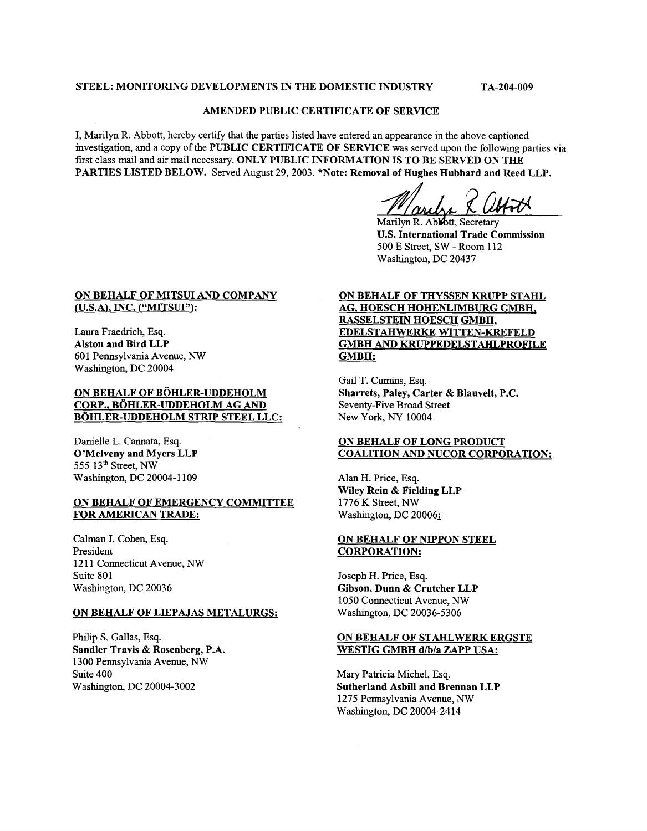# STEEL: MONITORING DEVELOPMENTS IN THE DOMESTIC INDUSTRY TA-204-009

## AMENDED PUBLIC CERTIFICATE OF SERVICE

I, Marilyn R. Abbott, hereby certify that the parties listed have entered an appearance in the above captioned investigation, and a copy of the PUBLIC CERTIFICATE OF SERVICE was served upon the following parties via first class mail and air mail necessary. ONLY PUBLIC INFORMATION IS TO BE SERVED ON THE PARTIES LISTED BELOW. Served August 29, 2003. \*Note: Removal of Hughes Hubbard and Reed LLP.

Warry X Abril

U.S. International Trade Commission 500 E Street, SW - Room 112 Washington, DC 20437

#### ON BEHALF OF MITSUI AND COMPANY /U.S.A), INC. ("MITSUI"):

Laura Fraedrich, **Esq.**  Alston and Bird LLP 601 Pennsylvania Avenue, *NW*  Washington, DC 20004

# ON BEHALF OF BÖHLER-UDDEHOLM CORP., BÖHLER-UDDEHOLM AG AND BÖHLER-UDDEHOLM STRIP STEEL LLC:

Danielle L. Cannata, **Esq.**  O'Melveny and Myers LLP 555 13'h Street, *NW*  Washington, DC 20004-1 109

#### ON BEHALF OF EMERGENCY COMMITTEE FOR AMERICAN TRADE:

Calman J. Cohen, **Esq.**  President 121 1 Connecticut Avenue, *NW*  Suite 801 Washington, DC 20036

#### ON BEHALF OF LIEPAJAS METALURGS:

Philip S. Gallas, **Esq.**  Sandler Travis & Rosenberg, P.A. 1300 Pennsylvania Avenue, *NW*  Suite 400 Washington, DC 20004-3002

# ON BEHALF OF THYSSEN KRUPP STAHL AG, HOESCH HOHENLIMBURG GMBH, RASSELSTEIN HOESCH GMBH, GMBH AND KRUPPEDELSTAHLPROFILE GMBH: EDELSTAHWERKE WITTEN-KREFELD

Gail T. Cumins, **Esq.**  Sharrets, Paley, Carter & Blauvelt, P.C. Seventy-Five Broad Street New York, *NY* 10004

# ON BEHALF OF LONG PRODUCT COALITION AND NUCOR CORPORATION:

Alan H. Price, **Esq.**  Wiley Rein & Fielding LLP 1776 K Street, *NW*  Washington, DC 20006:

## ON BEHALF OF NIPPON STEEL CORPORATION:

Joseph H. Price, **Esq.**  Gibson, Dunn & Crutcher LLP 1050 Connecticut Avenue, *NW*  Washington, DC 20036-5306

#### ON BEHALF OF STAHLWERK ERGSTE WESTIG GMBH d/b/a ZAPP USA:

Mary Patricia Michel, **Esq.**  Sutherland Asbill and Brennan LLP 1275 Pennsylvania Avenue, *NW*  Washington, DC 20004-24 14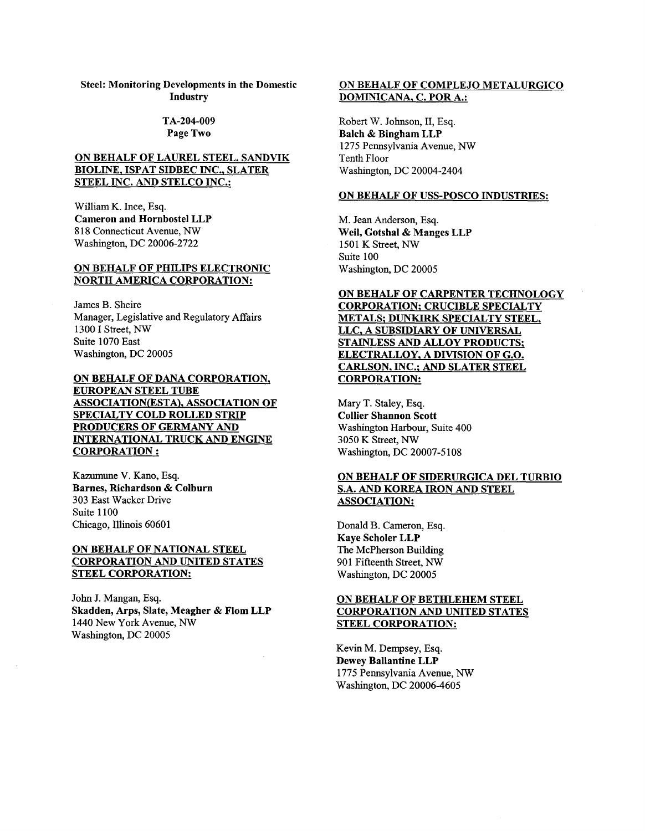## TA-204-009 Page Two

# ON BEHALF OF LAUREL STEEL, SANDVIK BIOLINE, ISPAT SIDBEC INC., SLATER STEEL INC. AND STELCO INC.:

William K. Ince, Esq. Cameron and Hornbostel LLP 8 18 Connecticut Avenue, *NW*  Washington, DC 20006-2722

#### ON BEHALF OF PHILIPS ELECTRONIC NORTH AMERICA CORPORATION:

James B. Sheire Manager, Legislative and Regulatory Affairs 1300 I Street, *NW*  Suite 1070 East Washmgton, DC 20005

ON BEHALF OF DANA CORPORATION, EUROPEAN STEEL TUBE ASSOCIATION(ESTA), ASSOCIATION OF SPECIALTY COLD ROLLED STRIP PRODUCERS OF GERMANY AND INTERNATIONAL TRUCK AND ENGINE CORPORATION :

Kazumune V. Kano, Esq. Barnes, Richardson & Colburn 303 East Wacker Drive Suite 1100 Chicago, Illinois 60601

# ON BEHALF OF NATIONAL STEEL CORPORATION AND UNITED STATES STEEL CORPORATION:

John J. Mangan, Esq. Skadden, Arps, Slate, Meagher & Flom LLP 1440 New York Avenue, *NW*  Washington, DC 20005

# ON BEHALF OF COMPLEJO METALURGICO DOMINICANA, C. POR A.:

Robert W. Johnson, 11, Esq. Balch & Bingham LLP 1275 Pennsylvania Avenue, *NW*  Tenth Floor Washington, DC 20004-2404

#### ON BEHALF OF USS-POSCO INDUSTRIES:

M. Jean Anderson, Esq. Weil, Gotshal & Manges LLP 1501 K Street, *NW*  Suite 100 Washington, DC 20005

# ON BEHALF OF CARPENTER TECHNOLOGY CORPORATION: CRUCIBLE SPECIALTY METALS: DUNKIRK SPECIALTY STEEL, LLC, A SUBSIDIARY OF UNIVERSAL STAINLESS AND ALLOY PRODUCTS; ELECTRALLOY. A DIVISION OF G.O. CARLSON, INC.: AND SLATER STEEL CORPORATION:

Mary T. Staley, Esq. Collier Shannon **Scott**  Washington **Harbour,** Suite 400 3050 K Street, *NW*  Washmgton, DC 20007-5 108

# ON BEHALF OF SIDERURGICA DEL TURBIO S.A. AND KOREA IRON AND STEEL ASSOCIATION:

Donald B. Cameron, Esq. Kaye Scholer LLP The McPherson Building 901 Fifteenth Street, *NW*  Washington, DC 20005

# ON BEHALF OF BETHLEHEM STEEL CORPORATION AND UNITED STATES STEEL CORPORATION:

Kevin M. Dempsey, Esq. Dewey Ballantine LLP 1775 Pennsylvania Avenue, *NW*  Washington, DC 20006-4605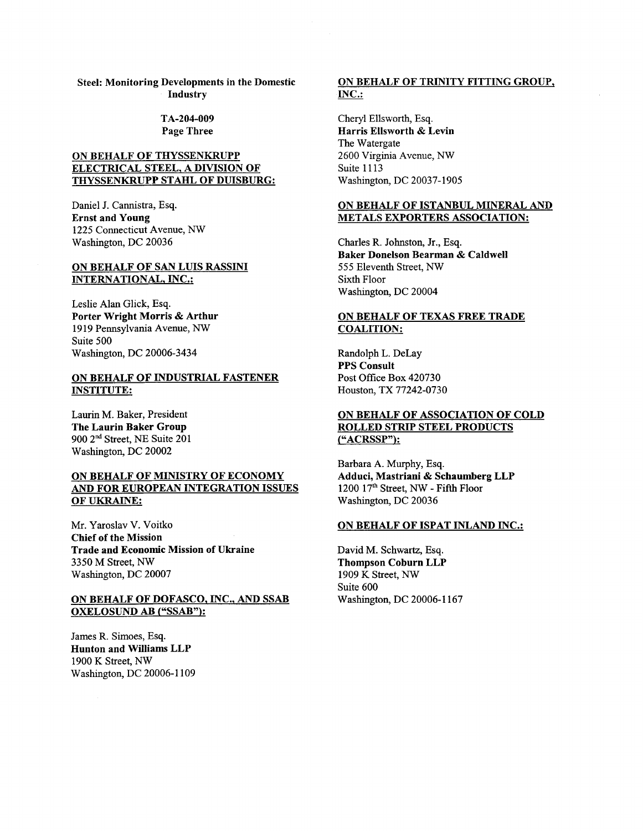## TA-204-009 Page Three

# ON BEHALF OF THYSSENKRUPP ELECTRICAL STEEL, A DIVISION OF THYSSENKRUPP STAHL OF DUISBURG:

Daniel J. Cannistra, Esq. Ernst and Young 1225 Connecticut Avenue, *NW*  Washington, DC 20036

#### ON BEHALF OF SAN LUIS RASSINI INTERNATIONAL, INC.:

Leslie Alan Glick, Esq. Porter Wright Morris & Arthur 19 19 Pennsylvania Avenue, *NW*  Suite 500 Washington, DC 20006-3434

## ON BEHALF OF INDUSTRIAL FASTENER INSTITUTE:

Laurin M. Baker, President The Laurin Baker Group 900 2nd Street, NE Suite 201 Washington, DC 20002

# ON BEHALF OF MINISTRY OF ECONOMY AND FOR EUROPEAN INTEGRATION ISSUES OF UKRAINE:

Mr. Yaroslav V. Voitko Chief of the Mission Trade and Economic Mission of Ukraine 3350 M Street, *NW*  Washmgton, DC 20007

## ON BEHALF OF DOFASCO, INC., AND SSAB OXELOSUND AB **("SSAB"):**

James R. Simoes, Esq. Hunton and Williams LLP 1900 K Street, *NW*  Washington, DC 20006-1 109

# ON BEHALF OF TRINITY FITTING GROUP, INC.:

Cheryl Ellsworth, Esq. Harris Ellsworth & Levin The Watergate 2600 Virginia Avenue, *NW*  **Suite 1113** Washington, DC 20037-1905

# ON BEHALF OF ISTANBUL MINERAL. AND METALS EXPORTERS ASSOCIATION:

Charles R. Johnston, Jr., Esq. Baker Donelson Bearman & Caldwell 555 Eleventh Street, *NW*  Sixth Floor Washmgton, DC 20004

## ON BEHALF OF TEXAS FREE TRADE COALITION:

Randolph L. DeLay PPS Consult Post Office Box 420730 Houston, TX 77242-0730

# ON BEHALF OF ASSOCIATION OF COLD ROLLED STRIP STEEL PRODUCTS ("ACRSSP"):

Barbara A. Murphy, Esq. Adduci, Mastriani & Schaumberg LLP 1200 17" Street, *NW* - Fifth Floor Washington, DC 20036

#### ON BEHALF OF ISPAT INLAND INC.:

David M. Schwartz, Esq. Thompson Coburn LLP 1909 K Street, *NW*  Suite 600 Washington, DC 20006-1 167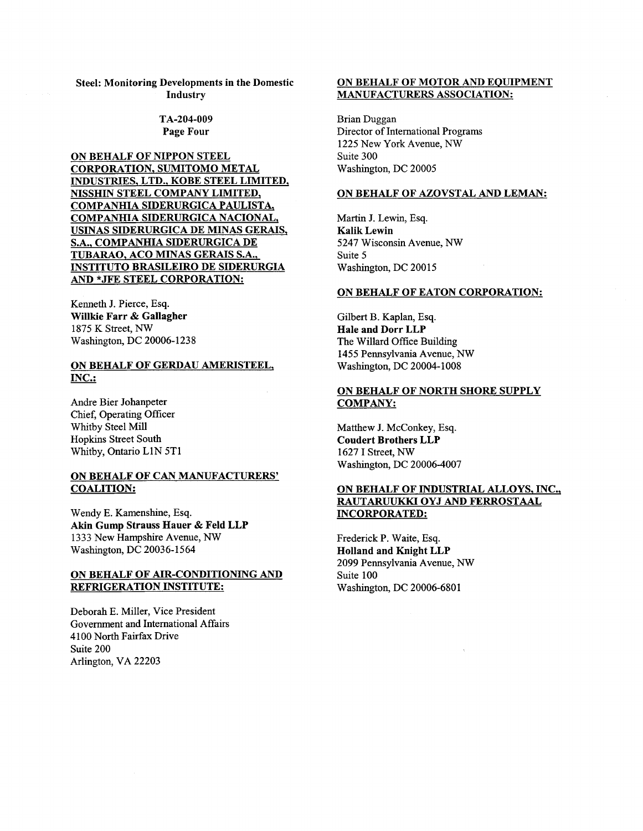#### TA-204-009 Page Four

ON BEHALF OF NIPPON STEEL CORPORATION, SUMITOMO METAL INDUSTRIES, LTD.. KOBE STEEL LIMITED, NISSHIN STEEL COMPANY LIMITED, COMPANHIA SIDERURGICA PAULISTA, COMPANHIA SIDERURGICA NACIONAL, USINAS SIDERURGICA DE MINAS GERAIS, S.A., COMPANHIA SIDERURGICA DE TUBARAO, ACO MINAS GERAIS S.A., INSTITUTO BRASILEIRO DE SIDERURGIA AND \*JFE STEEL CORPORATION:

Kenneth J. Pierce, **Esq.**  Willkie Farr & Gallagher 1875 K Street, *NW*  Washington, DC 20006-1238

## ON BEHALF OF GERDAU AMERISTEEL, INC.:

Andre Bier Johanpeter Chief, Operating Officer Whitby Steel Mill Hopkins Street South Whitby, Ontario L1N 5T1

# ON BEHALF OF CAN MANUFACTURERS' COALITION:

Wendy E. Kamenshine, Esq. Akin Gump Strauss Hauer & Feld LLP 1333 New Hampshire Avenue, *NW*  Washington, DC 20036-1564

## ON BEHALF OF AIR-CONDITIONING AND REFRIGERATION INSTITUTE:

Deborah **E.** Miller, Vice President Government and International Affairs 4 100 North Fairfax Drive Suite 200 Arlington, VA 22203

## ON BEHALF OF MOTOR AND EQUIPMENT MANUFACTURERS ASSOCIATION:

Brian Duggan Director of International Programs 1225 New York Avenue, *NW*  Suite 300 Washington, DC 20005

#### ON BEHALF OF AZOVSTAL AND LEMAN:

Martin J. Lewin, Esq. Kalik Lewin 5247 Wisconsin Avenue, NW Suite 5 Washington, DC 20015

#### ON BEHALF OF EATON CORPORATION:

Gilbert B. Kaplan, **Esq.**  Hale and Dorr LLP The Willard Office Building 1455 Pennsylvania Avenue, *NW*  Washington, DC 20004-1008

# ON BEHALF OF NORTH SHORE SUPPLY COMPANY:

Matthew J. McConkey, Esq. Coudert Brothers LLP 1627 I Street, *NW*  Washington, DC 20006-4007

## ON BEHALF OF INDUSTRIAL ALLOYS, INC., RAUTARUUKKI OYJ AND FERROSTAAL INCORPORATED:

Frederick P. Waite, Esq. Holland and Knight LLP 2099 Pennsylvania Avenue, *NW*  Suite 100 Washmgton, DC 20006-6801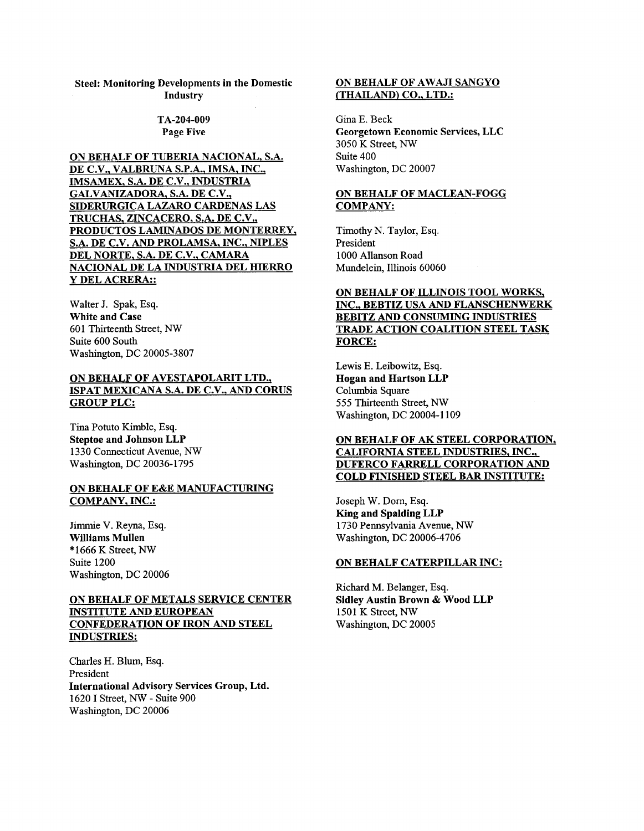#### TA-204-009 Page Five

ON BEHALF OF TUBERIA NACIONAL. S.A. DE C.V., VALBRUNA S.P.A., IMSA. INC., IMSAMEX, S.A. DE C.V., INDUSTRIA GALVANIZADORA, S.A. DE C.V., SIDERURGICA LAZAR0 CARDENAS LAS TRUCHAS. ZINCACERO. S.A. DE C.V., PRODUCTOS LAMINADOS DE MONTERREY, S.A. DE C.V. AND PROLAMSA, INC., NIPLES DEL NORTE, S.A. DE C.V., CAMARA NACIONAL DE LA INDUSTRIA DEL HIERRO **Y** DEL ACRERA::

Walter J. Spak, **Esq.**  White and Case 601 Thirteenth Street, *NW*  Suite 600 South Washington, DC 20005-3807

# ON BEHALF OF AVESTAPOLARIT LTD., ISPAT MEXICANA S.A. DE C.V., AND CORUS GROUP PLC:

Tina Potuto Kimble, **Esq.**  Steptoe and Johnson LLP 1330 Connecticut Avenue, *NW*  Washington, DC 20036-1795

# ON BEHALF OF E&E MANUFACTURING COMPANY, INC.:

Jimmie V. Reyna, **Esq.**  Williams Mullen \* 1666 K Street, *NW*  Suite 1200 Washington, DC 20006

# ON BEHALF OF METALS SERVICE CENTER INSTITUTE AND EUROPEAN CONFEDERATION OF IRON AND STEEL INDUSTRIES:

Charles H. Blum, **Esq.**  President International Advisory Services Group, Ltd. 1620 I Street, *NW* - Suite 900 Washington, DC 20006

# ON BEHALF OF AWAJI SANGYO (THAILAND) CO., LTD.:

Gina **E.** Beck Georgetown Economic Services, LLC 3050 K Street, *NW*  Suite 400 Washington, DC 20007

## ON BEHALF OF MACLEAN-FOGG COMPANY:

Timothy N. Taylor, **Esq.**  President 1000 Allanson Road Mundelein, Illinois 60060

# ON BEHALF OF ILLINOIS TOOL WORKS, INC., BEBTIZ USA AND FLANSCHENWERK BEBITZ AND CONSUMING INDUSTRIES TRADE ACTION COALITION STEEL TASK FORCE:

Lewis **E.** Leibowitz, **Esq.**  Hogan and Hartson LLP Columbia Square 555 Thirteenth Street, *NW*  Washington, DC 20004-1 109

# ON BEHALF OF AK STEEL CORPORATION, CALIFORNIA STEEL INDUSTRIES, INC., DUFERCO FARRELL CORPORATION AND COLD FINISHED STEEL BAR INSTITUTE:

Joseph W. Dorn, **Esq.**  King and Spalding LLP 1730 Pennsylvania Avenue, *NW*  Washington, DC 20006-4706

#### ON BEHALF CATERPILLAR INC:

Richard M. Belanger, **Esq.**  Sidley Austin Brown & Wood LLP 1501 K Street, *NW*  Washington, DC 20005